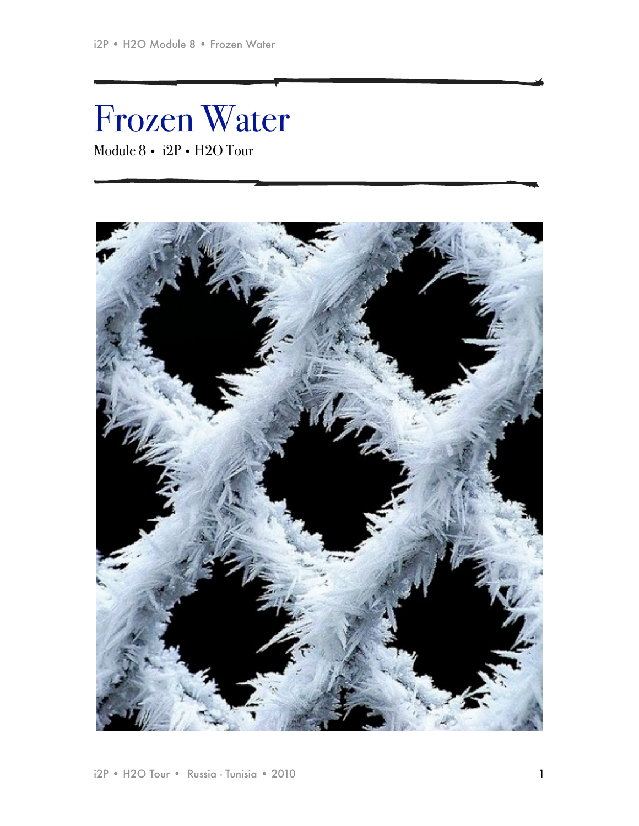# Frozen Water Module 8 • i2P • H2O Tour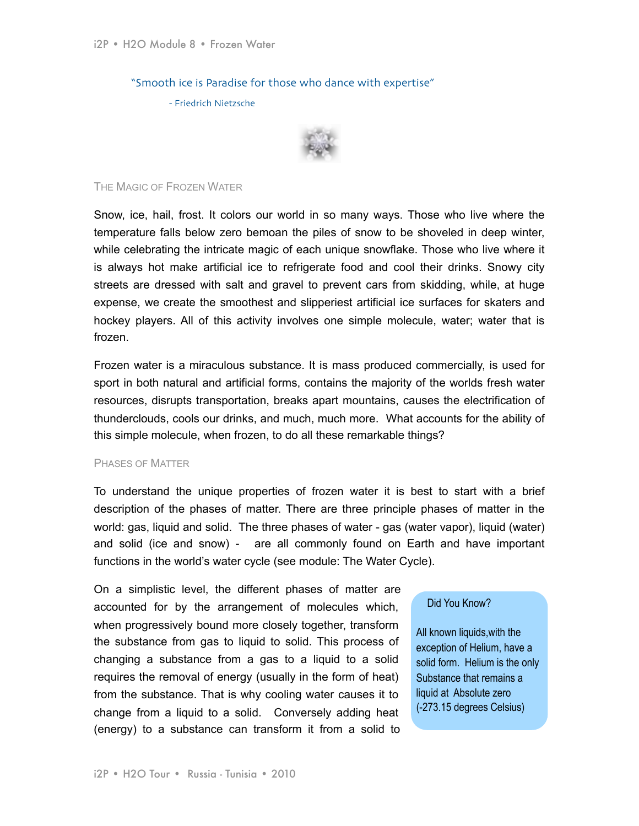"Smooth ice is Paradise for those who dance with expertise"

- Friedrich Nietzsche



# THE MAGIC OF FROZEN WATER

Snow, ice, hail, frost. It colors our world in so many ways. Those who live where the temperature falls below zero bemoan the piles of snow to be shoveled in deep winter, while celebrating the intricate magic of each unique snowflake. Those who live where it is always hot make artificial ice to refrigerate food and cool their drinks. Snowy city streets are dressed with salt and gravel to prevent cars from skidding, while, at huge expense, we create the smoothest and slipperiest artificial ice surfaces for skaters and hockey players. All of this activity involves one simple molecule, water; water that is frozen.

Frozen water is a miraculous substance. It is mass produced commercially, is used for sport in both natural and artificial forms, contains the majority of the worlds fresh water resources, disrupts transportation, breaks apart mountains, causes the electrification of thunderclouds, cools our drinks, and much, much more. What accounts for the ability of this simple molecule, when frozen, to do all these remarkable things?

# PHASES OF MATTER

To understand the unique properties of frozen water it is best to start with a brief description of the phases of matter. There are three principle phases of matter in the world: gas, liquid and solid. The three phases of water - gas (water vapor), liquid (water) and solid (ice and snow) - are all commonly found on Earth and have important functions in the world's water cycle (see module: The Water Cycle).

On a simplistic level, the different phases of matter are accounted for by the arrangement of molecules which, when progressively bound more closely together, transform the substance from gas to liquid to solid. This process of changing a substance from a gas to a liquid to a solid requires the removal of energy (usually in the form of heat) from the substance. That is why cooling water causes it to change from a liquid to a solid. Conversely adding heat (energy) to a substance can transform it from a solid to

# Did You Know?

All known liquids,with the exception of Helium, have a solid form. Helium is the only Substance that remains a liquid at Absolute zero (-273.15 degrees Celsius)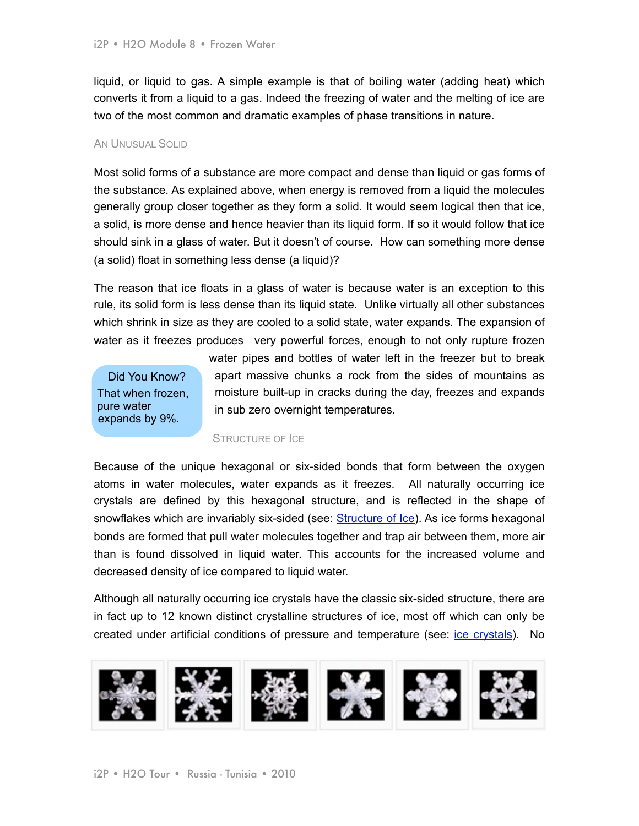liquid, or liquid to gas. A simple example is that of boiling water (adding heat) which converts it from a liquid to a gas. Indeed the freezing of water and the melting of ice are two of the most common and dramatic examples of phase transitions in nature.

## AN UNUSUAL SOLID

Most solid forms of a substance are more compact and dense than liquid or gas forms of the substance. As explained above, when energy is removed from a liquid the molecules generally group closer together as they form a solid. It would seem logical then that ice, a solid, is more dense and hence heavier than its liquid form. If so it would follow that ice should sink in a glass of water. But it doesn't of course. How can something more dense (a solid) float in something less dense (a liquid)?

The reason that ice floats in a glass of water is because water is an exception to this rule, its solid form is less dense than its liquid state. Unlike virtually all other substances which shrink in size as they are cooled to a solid state, water expands. The expansion of water as it freezes produces very powerful forces, enough to not only rupture frozen

Did You Know? That when frozen, pure water expands by 9%.

water pipes and bottles of water left in the freezer but to break apart massive chunks a rock from the sides of mountains as moisture built-up in cracks during the day, freezes and expands in sub zero overnight temperatures.

### STRUCTURE OF ICE

Because of the unique hexagonal or six-sided bonds that form between the oxygen atoms in water molecules, water expands as it freezes. All naturally occurring ice crystals are defined by this hexagonal structure, and is reflected in the shape of snowflakes which are invariably six-sided [\(see: Structure of Ice\)](http://science.jrank.org/pages/3497/Ice-Structure-ice.html). As ice forms hexagonal bonds are formed that pull water molecules together and trap air between them, more air than is found dissolved in liquid water. This accounts for the increased volume and decreased density of ice compared to liquid water.

Although all naturally occurring ice crystals have the classic six-sided structure, there are in fact up to 12 known distinct crystalline structures of ice, most off which can only be created under artificial conditions of pressure and temperature (see: [ice crystals](http://www.its.caltech.edu/~atomic/snowcrystals/ice/ice.htm)). No

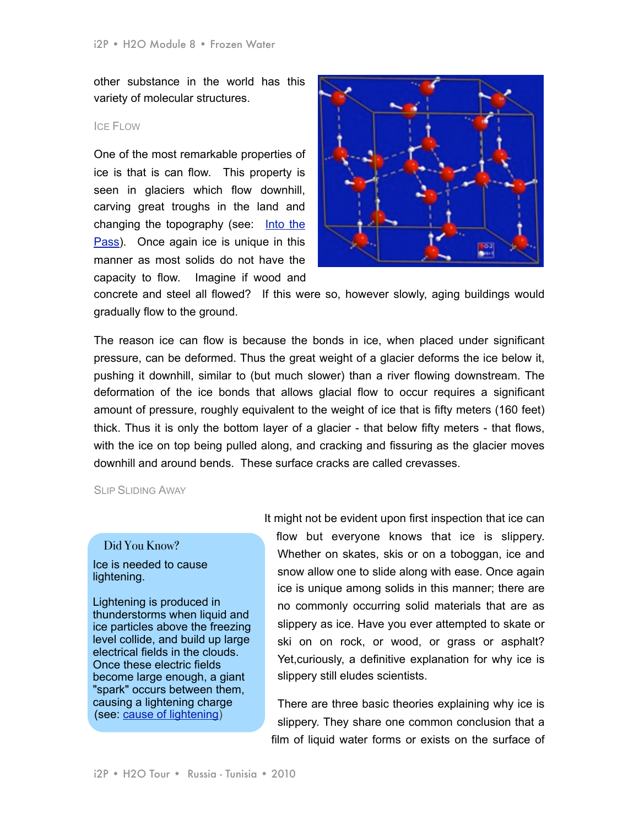other substance in the world has this variety of molecular structures.

## ICE FLOW

One of the most remarkable properties of ice is that is can flow. This property is seen in glaciers which flow downhill, carving great troughs in the land and changing the topography (see: [Into the](http://www.impossible2possible.com/world/modules/AP%2520Word%2520Module%25203%2520-%2520Into%2520the%2520Pass.f.pdf)  [Pass](http://www.impossible2possible.com/world/modules/AP%2520Word%2520Module%25203%2520-%2520Into%2520the%2520Pass.f.pdf)). Once again ice is unique in this manner as most solids do not have the capacity to flow. Imagine if wood and



concrete and steel all flowed? If this were so, however slowly, aging buildings would gradually flow to the ground.

The reason ice can flow is because the bonds in ice, when placed under significant pressure, can be deformed. Thus the great weight of a glacier deforms the ice below it, pushing it downhill, similar to (but much slower) than a river flowing downstream. The deformation of the ice bonds that allows glacial flow to occur requires a significant amount of pressure, roughly equivalent to the weight of ice that is fifty meters (160 feet) thick. Thus it is only the bottom layer of a glacier - that below fifty meters - that flows, with the ice on top being pulled along, and cracking and fissuring as the glacier moves downhill and around bends. These surface cracks are called crevasses.

SLIP SLIDING AWAY

# Did You Know?

## Ice is needed to cause lightening.

Lightening is produced in thunderstorms when liquid and ice particles above the freezing level collide, and build up large electrical fields in the clouds. Once these electric fields become large enough, a giant "spark" occurs between them, causing a lightening charge (see: [cause of lightening\)](http://www.weatherquestions.com/What_causes_lightning.htm)

It might not be evident upon first inspection that ice can flow but everyone knows that ice is slippery. Whether on skates, skis or on a toboggan, ice and snow allow one to slide along with ease. Once again ice is unique among solids in this manner; there are no commonly occurring solid materials that are as slippery as ice. Have you ever attempted to skate or ski on on rock, or wood, or grass or asphalt? Yet,curiously, a definitive explanation for why ice is slippery still eludes scientists.

There are three basic theories explaining why ice is slippery. They share one common conclusion that a film of liquid water forms or exists on the surface of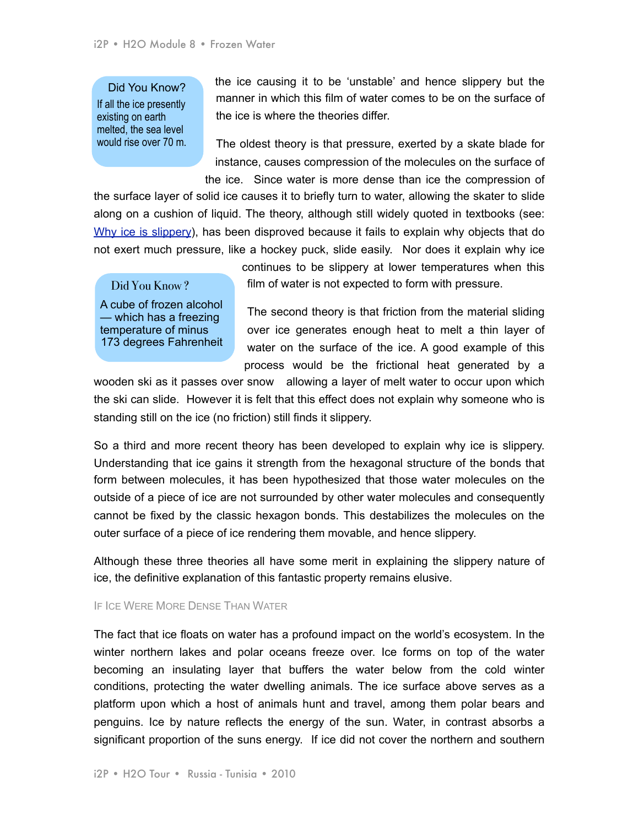## Did You Know?

If all the ice presently existing on earth melted, the sea level would rise over 70 m. the ice causing it to be 'unstable' and hence slippery but the manner in which this film of water comes to be on the surface of the ice is where the theories differ.

The oldest theory is that pressure, exerted by a skate blade for instance, causes compression of the molecules on the surface of the ice. Since water is more dense than ice the compression of

the surface layer of solid ice causes it to briefly turn to water, allowing the skater to slide along on a cushion of liquid. The theory, although still widely quoted in textbooks (see: [Why ice is slippery](http://www.lptms.u-psud.fr/membres/trizac/Ens/L3FIP/Ice.pdf)), has been disproved because it fails to explain why objects that do not exert much pressure, like a hockey puck, slide easily. Nor does it explain why ice

Did You Know? A cube of frozen alcohol — which has a freezing temperature of minus 173 degrees Fahrenheit continues to be slippery at lower temperatures when this film of water is not expected to form with pressure.

The second theory is that friction from the material sliding over ice generates enough heat to melt a thin layer of water on the surface of the ice. A good example of this process would be the frictional heat generated by a

wooden ski as it passes over snow allowing a layer of melt water to occur upon which the ski can slide. However it is felt that this effect does not explain why someone who is standing still on the ice (no friction) still finds it slippery.

So a third and more recent theory has been developed to explain why ice is slippery. Understanding that ice gains it strength from the hexagonal structure of the bonds that form between molecules, it has been hypothesized that those water molecules on the outside of a piece of ice are not surrounded by other water molecules and consequently cannot be fixed by the classic hexagon bonds. This destabilizes the molecules on the outer surface of a piece of ice rendering them movable, and hence slippery.

Although these three theories all have some merit in explaining the slippery nature of ice, the definitive explanation of this fantastic property remains elusive.

### IF ICE WERE MORE DENSE THAN WATER

The fact that ice floats on water has a profound impact on the world's ecosystem. In the winter northern lakes and polar oceans freeze over. Ice forms on top of the water becoming an insulating layer that buffers the water below from the cold winter conditions, protecting the water dwelling animals. The ice surface above serves as a platform upon which a host of animals hunt and travel, among them polar bears and penguins. Ice by nature reflects the energy of the sun. Water, in contrast absorbs a significant proportion of the suns energy. If ice did not cover the northern and southern